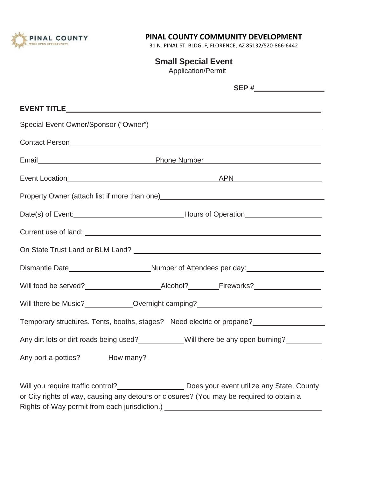

# **PINAL COUNTY COMMUNITY DEVELOPMENT**

31 N. PINAL ST. BLDG. F, FLORENCE, AZ 85132/520-866-6442

**Small Special Event**

Application/Permit

|                                                                                                                                                                              | Contact Person Contact Person Contact Person Contact Person Contact Person Contact Person Contact Person Conta                                           |  |
|------------------------------------------------------------------------------------------------------------------------------------------------------------------------------|----------------------------------------------------------------------------------------------------------------------------------------------------------|--|
|                                                                                                                                                                              |                                                                                                                                                          |  |
|                                                                                                                                                                              |                                                                                                                                                          |  |
| Property Owner (attach list if more than one)___________________________________                                                                                             |                                                                                                                                                          |  |
|                                                                                                                                                                              |                                                                                                                                                          |  |
|                                                                                                                                                                              |                                                                                                                                                          |  |
|                                                                                                                                                                              |                                                                                                                                                          |  |
|                                                                                                                                                                              | Dismantle Date Mumber of Attendees per day:                                                                                                              |  |
|                                                                                                                                                                              |                                                                                                                                                          |  |
| Will there be Music?______________Overnight camping?____________________________                                                                                             |                                                                                                                                                          |  |
|                                                                                                                                                                              | Temporary structures. Tents, booths, stages? Need electric or propane?<br><u>Femporary structures</u> . Tents, booths, stages? Need electric or propane? |  |
|                                                                                                                                                                              | Any dirt lots or dirt roads being used?___________Will there be any open burning?_________                                                               |  |
|                                                                                                                                                                              |                                                                                                                                                          |  |
| or City rights of way, causing any detours or closures? (You may be required to obtain a<br>Rights-of-Way permit from each jurisdiction.) __________________________________ | Will you require traffic control?___________________________Does your event utilize any State, County                                                    |  |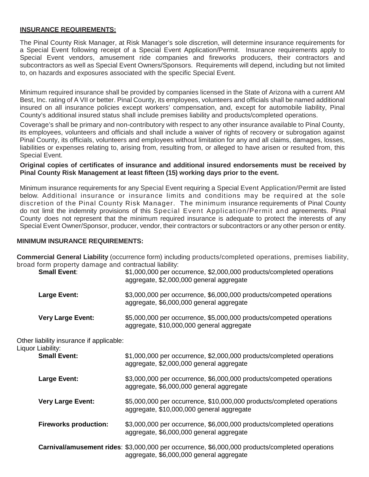## **INSURANCE REQUIREMENTS:**

The Pinal County Risk Manager, at Risk Manager's sole discretion, will determine insurance requirements for a Special Event following receipt of a Special Event Application/Permit. Insurance requirements apply to Special Event vendors, amusement ride companies and fireworks producers, their contractors and subcontractors as well as Special Event Owners/Sponsors. Requirements will depend, including but not limited to, on hazards and exposures associated with the specific Special Event.

Minimum required insurance shall be provided by companies licensed in the State of Arizona with a current AM Best, Inc. rating of A VII or better. Pinal County, its employees, volunteers and officials shall be named additional insured on all insurance policies except workers' compensation, and, except for automobile liability, Pinal County's additional insured status shall include premises liability and products/completed operations.

Coverage's shall be primary and non-contributory with respect to any other insurance available to Pinal County, its employees, volunteers and officials and shall include a waiver of rights of recovery or subrogation against Pinal County, its officials, volunteers and employees without limitation for any and all claims, damages, losses, liabilities or expenses relating to, arising from, resulting from, or alleged to have arisen or resulted from, this Special Event.

## **Original copies of certificates of insurance and additional insured endorsements must be received by Pinal County Risk Management at least fifteen (15) working days prior to the event.**

Minimum insurance requirements for any Special Event requiring a Special Event Application/Permit are listed below. Additional insurance or insurance limits and conditions may be required at the sole discretion of the Pinal County Risk Manager. The minimum insurance requirements of Pinal County do not limit the indemnity provisions of this Special Event Application/Permit and agreements. Pinal County does not represent that the minimum required insurance is adequate to protect the interests of any Special Event Owner/Sponsor, producer, vendor, their contractors or subcontractors or any other person or entity.

#### **MINIMUM INSURANCE REQUIREMENTS:**

**Commercial General Liability** (occurrence form) including products/completed operations, premises liability, broad form property damage and contractual liability:

| <b>Small Event:</b>                      | \$1,000,000 per occurrence, \$2,000,000 products/completed operations<br>aggregate, \$2,000,000 general aggregate                                  |
|------------------------------------------|----------------------------------------------------------------------------------------------------------------------------------------------------|
| <b>Large Event:</b>                      | \$3,000,000 per occurrence, \$6,000,000 products/competed operations<br>aggregate, \$6,000,000 general aggregate                                   |
| <b>Very Large Event:</b>                 | \$5,000,000 per occurrence, \$5,000,000 products/competed operations<br>aggregate, \$10,000,000 general aggregate                                  |
| Other liability insurance if applicable: |                                                                                                                                                    |
| Liquor Liability:<br><b>Small Event:</b> | \$1,000,000 per occurrence, \$2,000,000 products/completed operations<br>aggregate, \$2,000,000 general aggregate                                  |
| <b>Large Event:</b>                      | \$3,000,000 per occurrence, \$6,000,000 products/competed operations<br>aggregate, \$6,000,000 general aggregate                                   |
| <b>Very Large Event:</b>                 | \$5,000,000 per occurrence, \$10,000,000 products/completed operations<br>aggregate, \$10,000,000 general aggregate                                |
| <b>Fireworks production:</b>             | \$3,000,000 per occurrence, \$6,000,000 products/completed operations<br>aggregate, \$6,000,000 general aggregate                                  |
|                                          | <b>Carnival/amusement rides:</b> \$3,000,000 per occurrence, \$6,000,000 products/completed operations<br>aggregate, \$6,000,000 general aggregate |